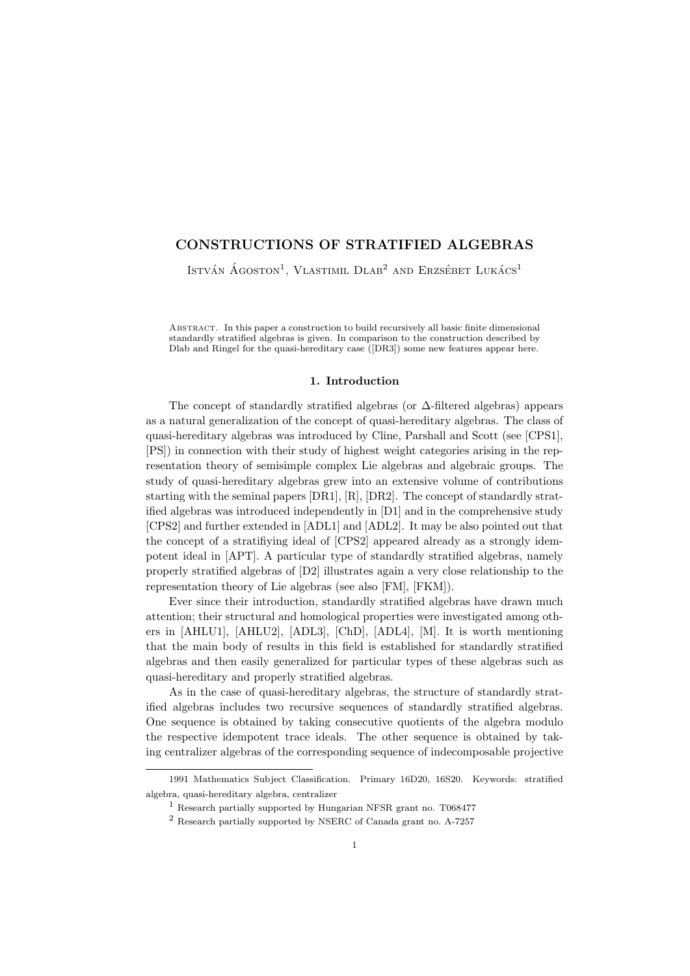# CONSTRUCTIONS OF STRATIFIED ALGEBRAS

István Ágoston<sup>1</sup>, Vlastimil Dlab<sup>2</sup> and Erzsébet Lukács<sup>1</sup>

Abstract. In this paper a construction to build recursively all basic finite dimensional standardly stratified algebras is given. In comparison to the construction described by Dlab and Ringel for the quasi-hereditary case ([DR3]) some new features appear here.

## 1. Introduction

The concept of standardly stratified algebras (or ∆-filtered algebras) appears as a natural generalization of the concept of quasi-hereditary algebras. The class of quasi-hereditary algebras was introduced by Cline, Parshall and Scott (see [CPS1], [PS]) in connection with their study of highest weight categories arising in the representation theory of semisimple complex Lie algebras and algebraic groups. The study of quasi-hereditary algebras grew into an extensive volume of contributions starting with the seminal papers [DR1], [R], [DR2]. The concept of standardly stratified algebras was introduced independently in [D1] and in the comprehensive study [CPS2] and further extended in [ADL1] and [ADL2]. It may be also pointed out that the concept of a stratifiying ideal of [CPS2] appeared already as a strongly idempotent ideal in [APT]. A particular type of standardly stratified algebras, namely properly stratified algebras of [D2] illustrates again a very close relationship to the representation theory of Lie algebras (see also [FM], [FKM]).

Ever since their introduction, standardly stratified algebras have drawn much attention; their structural and homological properties were investigated among others in [AHLU1], [AHLU2], [ADL3], [ChD], [ADL4], [M]. It is worth mentioning that the main body of results in this field is established for standardly stratified algebras and then easily generalized for particular types of these algebras such as quasi-hereditary and properly stratified algebras.

As in the case of quasi-hereditary algebras, the structure of standardly stratified algebras includes two recursive sequences of standardly stratified algebras. One sequence is obtained by taking consecutive quotients of the algebra modulo the respective idempotent trace ideals. The other sequence is obtained by taking centralizer algebras of the corresponding sequence of indecomposable projective

<sup>1991</sup> Mathematics Subject Classification. Primary 16D20, 16S20. Keywords: stratified algebra, quasi-hereditary algebra, centralizer

 $<sup>1</sup>$  Research partially supported by Hungarian NFSR grant no. T068477</sup>

<sup>2</sup> Research partially supported by NSERC of Canada grant no. A-7257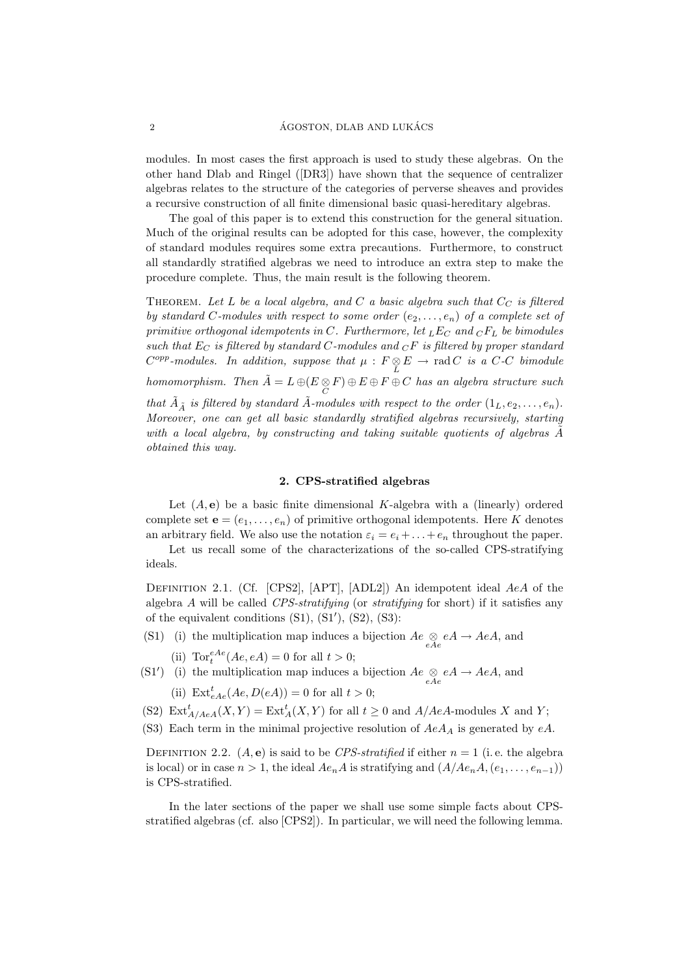modules. In most cases the first approach is used to study these algebras. On the other hand Dlab and Ringel ([DR3]) have shown that the sequence of centralizer algebras relates to the structure of the categories of perverse sheaves and provides a recursive construction of all finite dimensional basic quasi-hereditary algebras.

The goal of this paper is to extend this construction for the general situation. Much of the original results can be adopted for this case, however, the complexity of standard modules requires some extra precautions. Furthermore, to construct all standardly stratified algebras we need to introduce an extra step to make the procedure complete. Thus, the main result is the following theorem.

THEOREM. Let L be a local algebra, and C a basic algebra such that  $C_C$  is filtered by standard C-modules with respect to some order  $(e_2, \ldots, e_n)$  of a complete set of primitive orthogonal idempotents in C. Furthermore, let  $_LE_C$  and  $_CF_L$  be bimodules such that  $E_C$  is filtered by standard C-modules and  $_C F$  is filtered by proper standard  $C^{opp}\text{-modules.}$  In addition, suppose that  $\mu : F \underset{L}{\otimes} E \to \text{rad } C$  is a C-C bimodule homomorphism. Then  $\tilde{A} = L \oplus (E \underset{C}{\otimes} F) \oplus E \oplus F \oplus C$  has an algebra structure such that  $\tilde{A}_{\tilde{A}}$  is filtered by standard  $\tilde{A}$ -modules with respect to the order  $(1_L, e_2, \ldots, e_n)$ . Moreover, one can get all basic standardly stratified algebras recursively, starting with a local algebra, by constructing and taking suitable quotients of algebras  $\tilde{A}$ obtained this way.

### 2. CPS-stratified algebras

Let  $(A, e)$  be a basic finite dimensional K-algebra with a (linearly) ordered complete set  $\mathbf{e} = (e_1, \ldots, e_n)$  of primitive orthogonal idempotents. Here K denotes an arbitrary field. We also use the notation  $\varepsilon_i = e_i + \ldots + e_n$  throughout the paper.

Let us recall some of the characterizations of the so-called CPS-stratifying ideals.

DEFINITION 2.1. (Cf. [CPS2], [APT], [ADL2]) An idempotent ideal AeA of the algebra  $A$  will be called CPS-stratifying (or stratifying for short) if it satisfies any of the equivalent conditions  $(S1)$ ,  $(S1')$ ,  $(S2)$ ,  $(S3)$ :

- (S1) (i) the multiplication map induces a bijection  $Ae \underset{eAe}{\otimes} eA \rightarrow AeA$ , and
	- (ii)  $\text{Tor}_t^{eAe}(Ae, eA) = 0$  for all  $t > 0$ ;
- (S1') (i) the multiplication map induces a bijection  $Ae \underset{eAe}{\otimes} eA \rightarrow AeA$ , and (ii)  $\text{Ext}_{eAe}^{t}(Ae, D(eA)) = 0$  for all  $t > 0$ ;
- (S2)  $\text{Ext}^t_{A/AeA}(X,Y) = \text{Ext}^t_A(X,Y)$  for all  $t \geq 0$  and  $A/AeA$ -modules X and Y;
- (S3) Each term in the minimal projective resolution of  $AeA<sub>A</sub>$  is generated by  $eA$ .

DEFINITION 2.2.  $(A, e)$  is said to be *CPS-stratified* if either  $n = 1$  (i.e. the algebra is local) or in case  $n > 1$ , the ideal  $Ae_nA$  is stratifying and  $(A/Ae_nA,(e_1,\ldots,e_{n-1}))$ is CPS-stratified.

In the later sections of the paper we shall use some simple facts about CPSstratified algebras (cf. also [CPS2]). In particular, we will need the following lemma.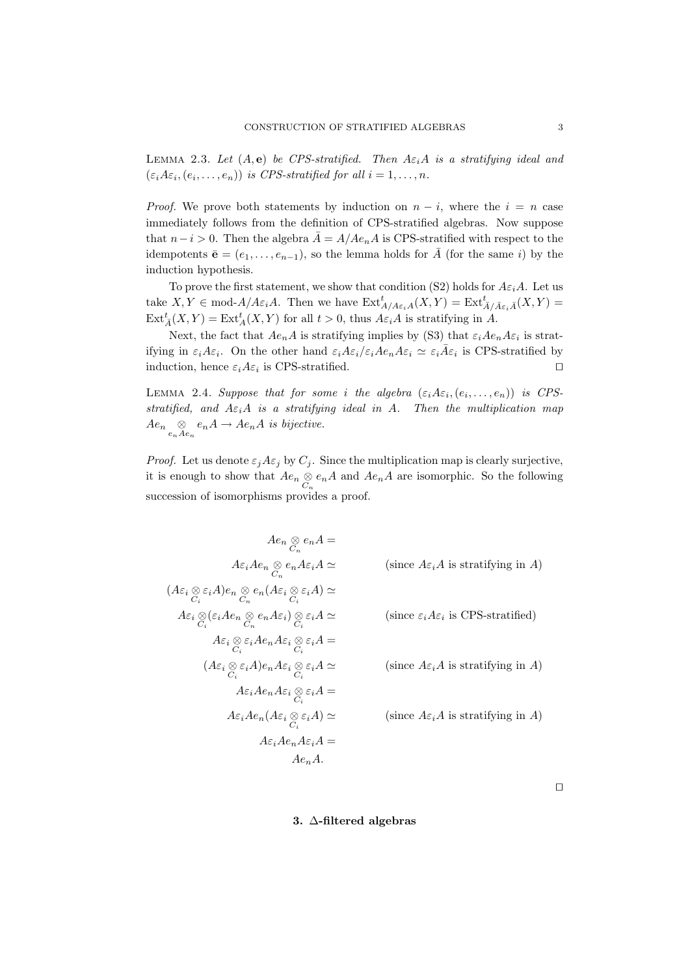LEMMA 2.3. Let  $(A, e)$  be CPS-stratified. Then  $A \varepsilon_i A$  is a stratifying ideal and  $(\varepsilon_i A \varepsilon_i, (e_i, \ldots, e_n))$  is CPS-stratified for all  $i = 1, \ldots, n$ .

*Proof.* We prove both statements by induction on  $n - i$ , where the  $i = n$  case immediately follows from the definition of CPS-stratified algebras. Now suppose that  $n-i > 0$ . Then the algebra  $\overline{A} = A/Ae_nA$  is CPS-stratified with respect to the idempotents  $\bar{\mathbf{e}} = (e_1, \ldots, e_{n-1})$ , so the lemma holds for  $\bar{A}$  (for the same i) by the induction hypothesis.

To prove the first statement, we show that condition (S2) holds for  $A\varepsilon_iA$ . Let us take  $X, Y \in \text{mod-}A/A\varepsilon_iA$ . Then we have  $\text{Ext}^t_{A/A\varepsilon_iA}(X, Y) = \text{Ext}^t_{\bar{A}/\bar{A}\varepsilon_i\bar{A}}(X, Y) =$  $\text{Ext}_{\bar{A}}^t(X,Y) = \text{Ext}_{A}^t(X,Y)$  for all  $t > 0$ , thus  $A\varepsilon_i A$  is stratifying in  $A$ .

Next, the fact that  $Ae_nA$  is stratifying implies by (S3) that  $\varepsilon_iAe_nA\varepsilon_i$  is stratifying in  $\varepsilon_i A \varepsilon_i$ . On the other hand  $\varepsilon_i A \varepsilon_i / \varepsilon_i A e_n A \varepsilon_i \simeq \varepsilon_i \overline{A} \varepsilon_i$  is CPS-stratified by induction, hence  $\varepsilon_i A \varepsilon_i$  is CPS-stratified.

LEMMA 2.4. Suppose that for some i the algebra  $(\varepsilon_i A \varepsilon_i, (e_i, \ldots, e_n))$  is CPSstratified, and  $A\varepsilon_iA$  is a stratifying ideal in A. Then the multiplication map  $Ae_n \underset{e_nAe_n}{\otimes} e_nA \rightarrow Ae_nA$  is bijective.

*Proof.* Let us denote  $\varepsilon_j A \varepsilon_j$  by  $C_j$ . Since the multiplication map is clearly surjective, it is enough to show that  $Ae_n \underset{C_n}{\otimes} e_nA$  and  $Ae_nA$  are isomorphic. So the following succession of isomorphisms provides a proof.

$$
Ae_n \underset{C_n}{\otimes} e_n A =
$$
\n
$$
A\varepsilon_i Ae_n \underset{C_n}{\otimes} e_n A\varepsilon_i A \simeq \qquad \text{(since } A\varepsilon_i A \text{ is stratifying in } A\text{)}
$$
\n
$$
(A\varepsilon_i \underset{C_i}{\otimes} \varepsilon_i A)e_n \underset{C_n}{\otimes} e_n (A\varepsilon_i \underset{C_i}{\otimes} \varepsilon_i A) \simeq
$$
\n
$$
A\varepsilon_i \underset{C_i}{\otimes} (\varepsilon_i Ae_n \underset{C_n}{\otimes} e_n A\varepsilon_i) \underset{C_i}{\otimes} \varepsilon_i A \simeq \qquad \text{(since } \varepsilon_i A\varepsilon_i \text{ is CPS-stratified)}
$$
\n
$$
A\varepsilon_i \underset{C_i}{\otimes} \varepsilon_i Ae_n A\varepsilon_i \underset{C_i}{\otimes} \varepsilon_i A =
$$
\n
$$
(A\varepsilon_i \underset{C_i}{\otimes} \varepsilon_i A)e_n A\varepsilon_i \underset{C_i}{\otimes} \varepsilon_i A \simeq \qquad \text{(since } A\varepsilon_i A \text{ is stratifying in } A\text{)}
$$
\n
$$
A\varepsilon_i Ae_n A\varepsilon_i \underset{C_i}{\otimes} \varepsilon_i A) \simeq \qquad \text{(since } A\varepsilon_i A \text{ is stratifying in } A\text{)}
$$
\n
$$
A\varepsilon_i Ae_n A\varepsilon_i A =
$$
\n
$$
Ae_n A.
$$

 $\Box$ 

## 3. ∆-filtered algebras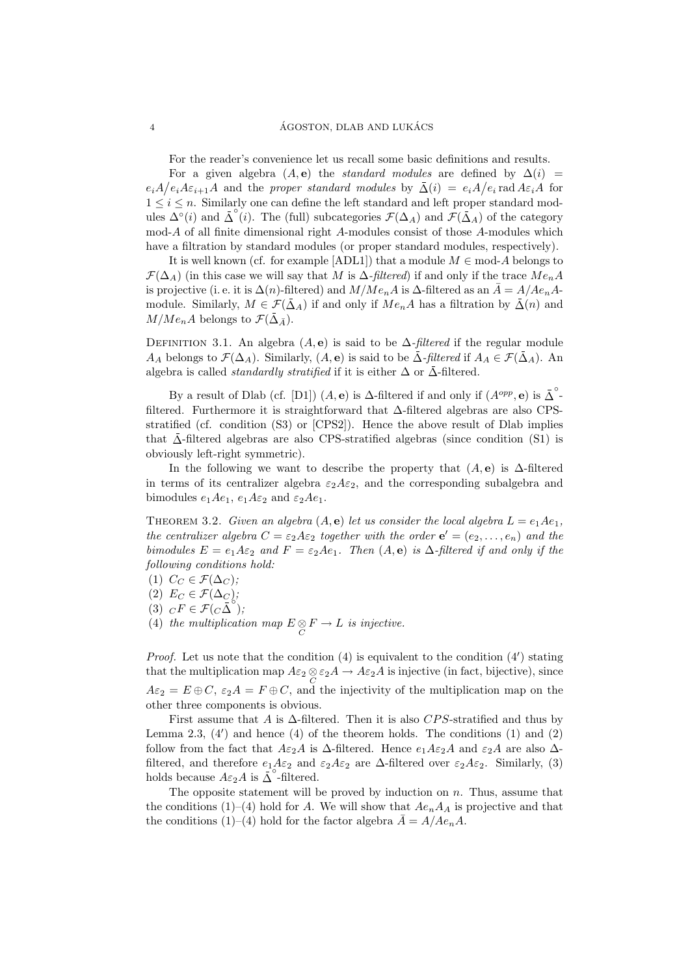For the reader's convenience let us recall some basic definitions and results.

For a given algebra  $(A, e)$  the *standard modules* are defined by  $\Delta(i)$  =  $e_iA/e_iA\varepsilon_{i+1}A$  and the proper standard modules by  $\bar{\Delta}(i) = e_iA/e_i$  rad  $A\varepsilon_iA$  for  $1 \leq i \leq n$ . Similarly one can define the left standard and left proper standard modules  $\Delta^{\circ}(i)$  and  $\bar{\Delta}^{\circ}(i)$ . The (full) subcategories  $\mathcal{F}(\Delta_A)$  and  $\bar{\mathcal{F}}(\bar{\Delta}_A)$  of the category mod-A of all finite dimensional right A-modules consist of those A-modules which have a filtration by standard modules (or proper standard modules, respectively).

It is well known (cf. for example [ADL1]) that a module  $M \in \text{mod-}A$  belongs to  $\mathcal{F}(\Delta_A)$  (in this case we will say that M is  $\Delta$ -filtered) if and only if the trace  $Me_nA$ is projective (i. e. it is  $\Delta(n)$ -filtered) and  $M/Me<sub>n</sub>A$  is  $\Delta$ -filtered as an  $\overline{A} = A/Ae<sub>n</sub>A$ module. Similarly,  $M \in \mathcal{F}(\bar{\Delta}_A)$  if and only if  $Me_nA$  has a filtration by  $\bar{\Delta}(n)$  and  $M/Me<sub>n</sub>A$  belongs to  $\mathcal{F}(\Delta_{\bar{A}})$ .

DEFINITION 3.1. An algebra  $(A, e)$  is said to be  $\Delta$ -filtered if the regular module  $A_A$  belongs to  $\mathcal{F}(\Delta_A)$ . Similarly,  $(A, e)$  is said to be  $\Delta$ -filtered if  $A_A \in \mathcal{F}(\Delta_A)$ . An algebra is called *standardly stratified* if it is either  $\Delta$  or  $\bar{\Delta}$ -filtered.

By a result of Dlab (cf. [D1])  $(A, e)$  is  $\Delta$ -filtered if and only if  $(A^{opp}, e)$  is  $\overline{\Delta}^{\circ}$ filtered. Furthermore it is straightforward that ∆-filtered algebras are also CPSstratified (cf. condition (S3) or [CPS2]). Hence the above result of Dlab implies that  $\bar{\Delta}$ -filtered algebras are also CPS-stratified algebras (since condition (S1) is obviously left-right symmetric).

In the following we want to describe the property that  $(A, e)$  is  $\Delta$ -filtered in terms of its centralizer algebra  $\varepsilon_2A\varepsilon_2$ , and the corresponding subalgebra and bimodules  $e_1Ae_1$ ,  $e_1A\varepsilon_2$  and  $\varepsilon_2Ae_1$ .

THEOREM 3.2. Given an algebra  $(A, e)$  let us consider the local algebra  $L = e_1Ae_1$ , the centralizer algebra  $C = \varepsilon_2 A \varepsilon_2$  together with the order  $e' = (e_2, \ldots, e_n)$  and the bimodules  $E = e_1 A \varepsilon_2$  and  $F = \varepsilon_2 A e_1$ . Then  $(A, e)$  is  $\Delta$ -filtered if and only if the following conditions hold:

- (1)  $C_C \in \mathcal{F}(\Delta_C);$
- (2)  $E_C \in \mathcal{F}(\Delta_C);$
- (3)  $\ _{C}F\in\mathcal{F}(C\Delta^{\circ});$
- (4) the multiplication map  $E \underset{C}{\otimes} F \to L$  is injective.

*Proof.* Let us note that the condition  $(4)$  is equivalent to the condition  $(4')$  stating that the multiplication map  $A\varepsilon_2 \otimes \varepsilon_2 A \to A\varepsilon_2 A$  is injective (in fact, bijective), since  $A\varepsilon_2 = E \oplus C$ ,  $\varepsilon_2 A = F \oplus C$ , and the injectivity of the multiplication map on the other three components is obvious.

First assume that A is  $\Delta$ -filtered. Then it is also CPS-stratified and thus by Lemma 2.3,  $(4')$  and hence  $(4)$  of the theorem holds. The conditions  $(1)$  and  $(2)$ follow from the fact that  $A\varepsilon_2A$  is  $\Delta$ -filtered. Hence  $e_1A\varepsilon_2A$  and  $\varepsilon_2A$  are also  $\Delta$ filtered, and therefore  $e_1A\varepsilon_2$  and  $\varepsilon_2A\varepsilon_2$  are  $\Delta$ -filtered over  $\varepsilon_2A\varepsilon_2$ . Similarly, (3) holds because  $A\varepsilon_2 A$  is  $\Delta$  -filtered.

The opposite statement will be proved by induction on  $n$ . Thus, assume that the conditions (1)–(4) hold for A. We will show that  $Ae_nA_A$  is projective and that the conditions (1)–(4) hold for the factor algebra  $\bar{A} = A/Ae_nA$ .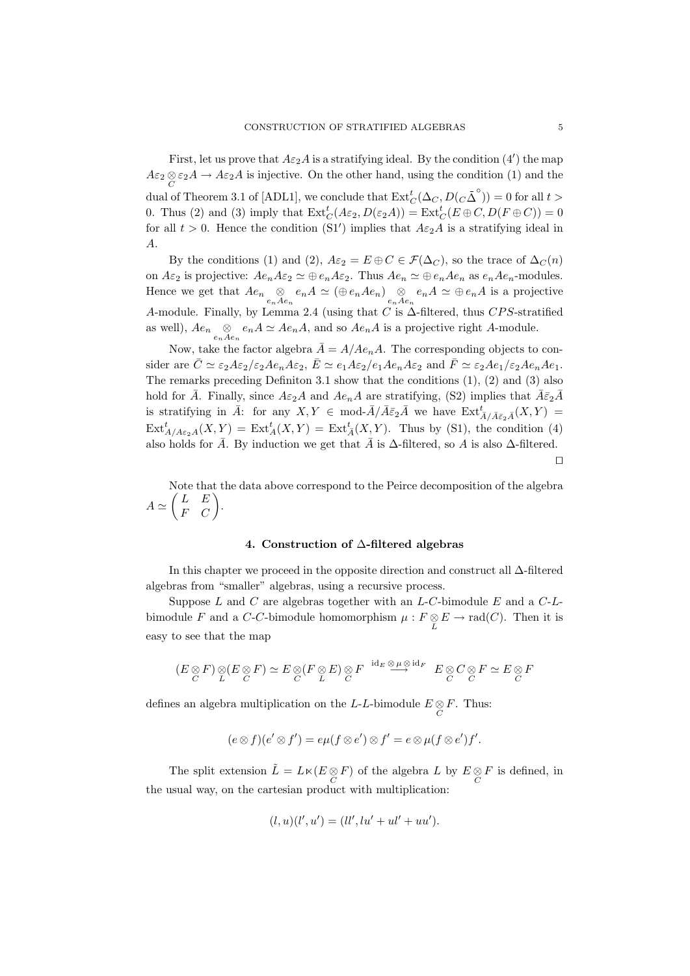First, let us prove that  $A \varepsilon_2 A$  is a stratifying ideal. By the condition  $(4')$  the map  $A\varepsilon_2 \otimes \varepsilon_2 A \to A\varepsilon_2 A$  is injective. On the other hand, using the condition (1) and the dual of Theorem 3.1 of [ADL1], we conclude that  $\mathrm{Ext}^t_C(\Delta_C, D(C\overline{\Delta}^{\circ})) = 0$  for all  $t >$ 0. Thus (2) and (3) imply that  $\text{Ext}^t_C(A\varepsilon_2, D(\varepsilon_2 A)) = \text{Ext}^t_C(E \oplus C, D(F \oplus C)) = 0$ for all  $t > 0$ . Hence the condition (S1') implies that  $A \epsilon_2 A$  is a stratifying ideal in A.

By the conditions (1) and (2),  $A\varepsilon_2 = E \oplus C \in \mathcal{F}(\Delta_C)$ , so the trace of  $\Delta_C(n)$ on  $A\varepsilon_2$  is projective:  $Ae_nA\varepsilon_2 \simeq \bigoplus e_nA\varepsilon_2$ . Thus  $Ae_n \simeq \bigoplus e_nAe_n$  as  $e_nAe_n$ -modules. Hence we get that  $Ae_n \underset{e_nAe_n}{\otimes} e_nA \simeq (\oplus e_nAe_n) \underset{e_nAe_n}{\otimes} e_nA \simeq \oplus e_nA$  is a projective A-module. Finally, by Lemma 2.4 (using that C is  $\Delta$ -filtered, thus CPS-stratified as well),  $Ae_n \underset{e_nAe_n}{\otimes} e_nA \simeq Ae_nA$ , and so  $Ae_nA$  is a projective right A-module.

Now, take the factor algebra  $\overline{A} = A/Ae_nA$ . The corresponding objects to consider are  $\bar{C} \simeq \varepsilon_2 A \varepsilon_2 / \varepsilon_2 A e_n A \varepsilon_2$ ,  $\bar{E} \simeq e_1 A \varepsilon_2 / e_1 A e_n A \varepsilon_2$  and  $\bar{F} \simeq \varepsilon_2 A e_1 / \varepsilon_2 A e_n A e_1$ . The remarks preceding Definiton 3.1 show that the conditions  $(1)$ ,  $(2)$  and  $(3)$  also hold for  $\bar{A}$ . Finally, since  $A\varepsilon_2A$  and  $Ae_nA$  are stratifying, (S2) implies that  $\bar{A}\bar{\varepsilon}_2\bar{A}$ is stratifying in  $\bar{A}$ : for any  $X, Y \in \text{mod-}\bar{A}/\bar{A}\bar{\varepsilon}_2\bar{A}$  we have  $\text{Ext}^t_{\bar{A}/\bar{A}\bar{\varepsilon}_2\bar{A}}(X, Y) =$  $\text{Ext}^t_{A/A\varepsilon_2A}(X,Y) = \text{Ext}^t_A(X,Y) = \text{Ext}^t_{\bar{A}}(X,Y).$  Thus by (S1), the condition (4) also holds for  $\overline{A}$ . By induction we get that  $\overline{A}$  is  $\Delta$ -filtered, so A is also  $\Delta$ -filtered.

 $\Box$ 

Note that the data above correspond to the Peirce decomposition of the algebra  $A \simeq \begin{pmatrix} L & E \\ F & C \end{pmatrix}.$ 

### 4. Construction of ∆-filtered algebras

In this chapter we proceed in the opposite direction and construct all ∆-filtered algebras from "smaller" algebras, using a recursive process.

Suppose  $L$  and  $C$  are algebras together with an  $L$ - $C$ -bimodule  $E$  and a  $C$ - $L$ bimodule F and a C-C-bimodule homomorphism  $\mu : F \underset{L}{\otimes} E \to \text{rad}(C)$ . Then it is easy to see that the map

$$
(E \underset{C}{\otimes} F) \underset{L}{\otimes} (E \underset{C}{\otimes} F) \simeq E \underset{C}{\otimes} (F \underset{L}{\otimes} E) \underset{C}{\otimes} F \xrightarrow{id_E \underset{C}{\otimes} id_F} E \underset{C}{\otimes} C \underset{C}{\otimes} F \simeq E \underset{C}{\otimes} F
$$

defines an algebra multiplication on the *L*-*L*-bimodule  $E \underset{C}{\otimes} F$ . Thus:

$$
(e \otimes f)(e' \otimes f') = e\mu(f \otimes e') \otimes f' = e \otimes \mu(f \otimes e')f'.
$$

The split extension  $\tilde{L} = L \ltimes (E \otimes F)$  of the algebra L by  $E \otimes F$  is defined, in the usual way, on the cartesian product with multiplication:

$$
(l, u)(l', u') = (ll', lu' + ul' + uu').
$$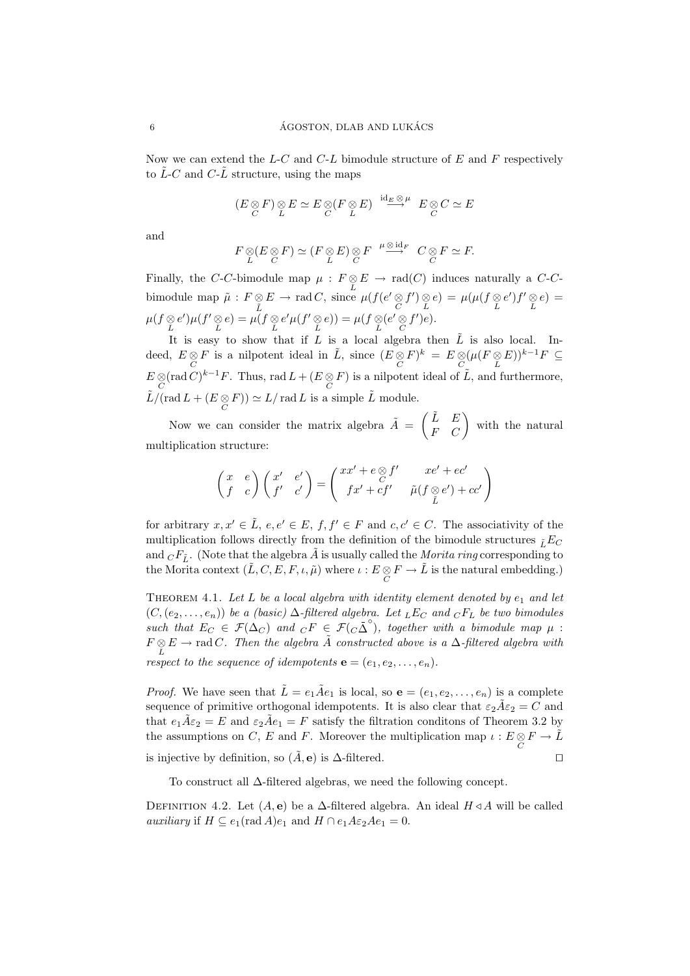Now we can extend the  $L-C$  and  $C-L$  bimodule structure of  $E$  and  $F$  respectively to  $\tilde{L}$ -C and C- $\tilde{L}$  structure, using the maps

$$
(E \underset{C}{\otimes} F) \underset{L}{\otimes} E \simeq E \underset{C}{\otimes} (F \underset{L}{\otimes} E) \xrightarrow{id_E \underset{C}{\otimes} \mu} E \underset{C}{\otimes} C \simeq E
$$

and

$$
F \underset{L}{\otimes} (E \underset{C}{\otimes} F) \simeq (F \underset{L}{\otimes} E) \underset{C}{\otimes} F \xrightarrow{\mu \underset{C}{\otimes} id_{F}} C \underset{C}{\otimes} F \simeq F.
$$

Finally, the C-C-bimodule map  $\mu : F \underset{L}{\otimes} E \to \text{rad}(C)$  induces naturally a C-Cbimodule map  $\tilde{\mu}$  :  $F \otimes$  $\tilde{L}$  $E \to \text{rad } C$ , since  $\mu(f(e' \underset{C}{\otimes} f') \underset{L}{\otimes} e) = \mu(\mu(f \underset{L}{\otimes} e')f' \underset{L}{\otimes} e) =$  $\mu(f \underset{L}{\otimes} e')\mu(f' \underset{L}{\otimes} e) = \mu(f \underset{L}{\otimes} e'\mu(f' \underset{L}{\otimes} e)) = \mu(f \underset{L}{\otimes} (e' \underset{C}{\otimes} f')e).$ 

It is easy to show that if L is a local algebra then  $\tilde{L}$  is also local. Indeed,  $E \underset{C}{\otimes} F$  is a nilpotent ideal in  $\tilde{L}$ , since  $(E \underset{C}{\otimes} F)^k = E \underset{C}{\otimes} (\mu(F \underset{L}{\otimes} E))^{k-1} F \subseteq$  $E \otimes (\text{rad } C)^{k-1}F$ . Thus, rad  $L + (E \otimes F)$  is a nilpotent ideal of  $\tilde{L}$ , and furthermore,  $\tilde{L}/(\text{rad }L + (E \underset{C}{\otimes} F)) \simeq L/\text{ rad }L$  is a simple  $\tilde{L}$  module.

Now we can consider the matrix algebra  $\tilde{A} = \begin{pmatrix} \tilde{L} & E \\ F & C \end{pmatrix}$  with the natural multiplication structure:

$$
\begin{pmatrix} x & e \\ f & c \end{pmatrix} \begin{pmatrix} x' & e' \\ f' & c' \end{pmatrix} = \begin{pmatrix} xx' + e\otimes f' & xe' + ec' \\ fx' + cf' & \tilde{\mu}(f\otimes e') + cc' \\ \tilde{L} & \tilde{L} \end{pmatrix}
$$

for arbitrary  $x, x' \in \tilde{L}$ ,  $e, e' \in E$ ,  $f, f' \in F$  and  $c, c' \in C$ . The associativity of the multiplication follows directly from the definition of the bimodule structures  $_{\tilde{L}}E_C$ and  $C F_{\tilde{L}}$ . (Note that the algebra  $\tilde{A}$  is usually called the *Morita ring* corresponding to the Morita context  $(\tilde{L}, C, E, F, \iota, \tilde{\mu})$  where  $\iota : E \otimes F \to \tilde{L}$  is the natural embedding.)

THEOREM 4.1. Let L be a local algebra with identity element denoted by  $e_1$  and let  $(C,(e_2,\ldots,e_n))$  be a (basic)  $\Delta$ -filtered algebra. Let  $_EE_C$  and  $_CF_L$  be two bimodules such that  $E_C \in \mathcal{F}(\Delta_C)$  and  $\overline{c}F \in \mathcal{F}(C_0 \overline{\Delta}^{\circ})$ , together with a bimodule map  $\mu$ :  $F \underset{L}{\otimes} E \to \text{rad } C$ . Then the algebra  $\tilde{A}$  constructed above is a  $\Delta$ -filtered algebra with respect to the sequence of idempotents  $\mathbf{e} = (e_1, e_2, \dots, e_n)$ .

*Proof.* We have seen that  $\tilde{L} = e_1 \tilde{A} e_1$  is local, so  $\mathbf{e} = (e_1, e_2, \dots, e_n)$  is a complete sequence of primitive orthogonal idempotents. It is also clear that  $\varepsilon_2 \tilde{A} \varepsilon_2 = C$  and that  $e_1 \tilde{A} \varepsilon_2 = E$  and  $\varepsilon_2 \tilde{A} e_1 = F$  satisfy the filtration conditons of Theorem 3.2 by the assumptions on C, E and F. Moreover the multiplication map  $\iota : E \underset{C}{\otimes} F \to \tilde{L}$ is injective by definition, so  $(\tilde{A}, \mathbf{e})$  is  $\Delta$ -filtered.  $\Box$ 

To construct all ∆-filtered algebras, we need the following concept.

DEFINITION 4.2. Let  $(A, e)$  be a  $\Delta$ -filtered algebra. An ideal  $H \triangleleft A$  will be called *auxiliary* if  $H \subseteq e_1(\text{rad }A)e_1$  and  $H \cap e_1A\epsilon_2Ae_1 = 0$ .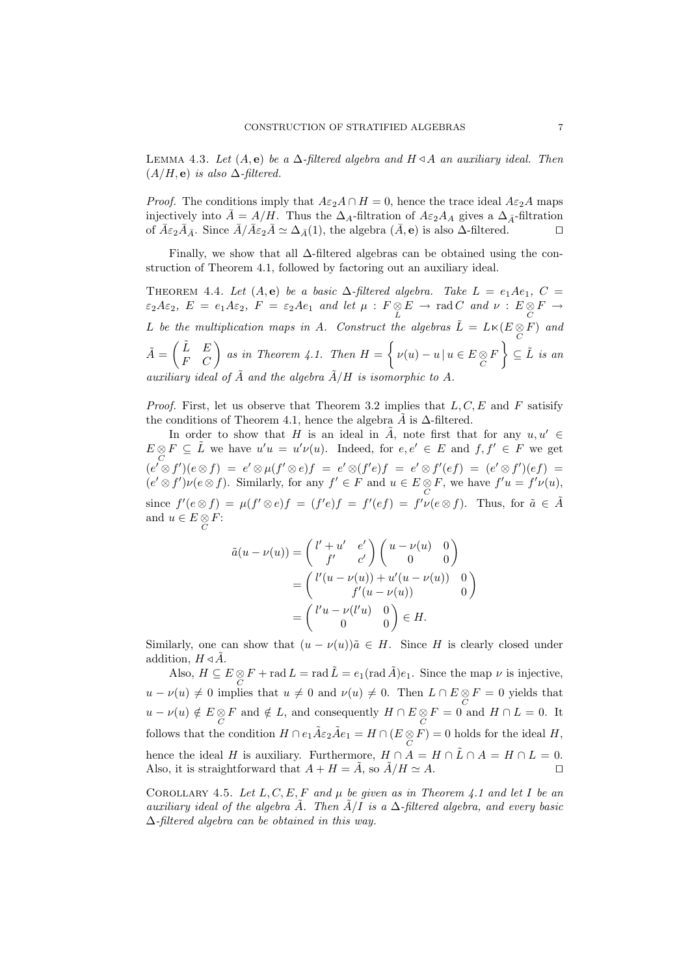LEMMA 4.3. Let  $(A, e)$  be a  $\Delta$ -filtered algebra and  $H \triangleleft A$  an auxiliary ideal. Then  $(A/H, e)$  is also  $\Delta$ -filtered.

*Proof.* The conditions imply that  $A\varepsilon_2A \cap H = 0$ , hence the trace ideal  $A\varepsilon_2A$  maps injectively into  $\bar{A} = A/H$ . Thus the  $\Delta_{A}$ -filtration of  $A\varepsilon_{2}A_{A}$  gives a  $\Delta_{\bar{A}}$ -filtration of  $\bar{A}\varepsilon_2\bar{A}_{\bar{A}}$ . Since  $\bar{A}/\bar{A}\varepsilon_2\bar{A} \simeq \Delta_{\bar{A}}(1)$ , the algebra  $(\bar{A}, \mathbf{e})$  is also  $\Delta$ -filtered.

Finally, we show that all ∆-filtered algebras can be obtained using the construction of Theorem 4.1, followed by factoring out an auxiliary ideal.

THEOREM 4.4. Let  $(A, e)$  be a basic  $\Delta$ -filtered algebra. Take  $L = e_1 A e_1$ ,  $C =$  $\varepsilon_2 A \varepsilon_2$ ,  $E = e_1 A \varepsilon_2$ ,  $F = \varepsilon_2 A e_1$  and let  $\mu : F \otimes E \to \text{rad } C$  and  $\nu : E \otimes F \to C$ L be the multiplication maps in A. Construct the algebras  $\tilde{L} = L \times (E \underset{C}{\otimes} F)$  and  $\tilde{A} = \begin{pmatrix} \tilde{L} & E \\ F & C \end{pmatrix}$  as in Theorem 4.1. Then  $H = \left\{ \nu(u) - u \, | \, u \in E \underset{C}{\otimes} F \right\} \subseteq \tilde{L}$  is an auxiliary ideal of  $\tilde{A}$  and the algebra  $\tilde{A}/H$  is isomorphic to A.

*Proof.* First, let us observe that Theorem 3.2 implies that  $L, C, E$  and F satisify the conditions of Theorem 4.1, hence the algebra  $\tilde{A}$  is  $\Delta$ -filtered.

In order to show that H is an ideal in  $\tilde{A}$ , note first that for any  $u, u' \in$  $E \otimes F \subseteq \tilde{L}$  we have  $u'u = u'v(u)$ . Indeed, for  $e, e' \in E$  and  $f, f' \in F$  we get  $(c' \otimes f')(e \otimes f) = e' \otimes \mu(f' \otimes e)f = e' \otimes (f'e)f = e' \otimes f'(ef) = (e' \otimes f')(ef) =$  $(e' \otimes f')\nu(e \otimes f)$ . Similarly, for any  $f' \in F$  and  $u \in E \underset{C}{\otimes} F$ , we have  $f'u = f'\nu(u)$ , since  $f'(e \otimes f) = \mu(f' \otimes e)f = (f'e)f = f'(ef) = f'\nu(e \otimes f)$ . Thus, for  $\tilde{a} \in \tilde{A}$ and  $u \in E \underset{C}{\otimes} F$ :

$$
\tilde{a}(u - \nu(u)) = \begin{pmatrix} l' + u' & e' \\ f' & c' \end{pmatrix} \begin{pmatrix} u - \nu(u) & 0 \\ 0 & 0 \end{pmatrix}
$$

$$
= \begin{pmatrix} l'(u - \nu(u)) + u'(u - \nu(u)) & 0 \\ f'(u - \nu(u)) & 0 \end{pmatrix}
$$

$$
= \begin{pmatrix} l'u - \nu(l'u) & 0 \\ 0 & 0 \end{pmatrix} \in H.
$$

Similarly, one can show that  $(u - \nu(u))\tilde{a} \in H$ . Since H is clearly closed under addition,  $H \triangleleft \overline{A}$ .

Also,  $H \subseteq E \otimes F$  + rad  $L = \text{rad }\tilde{L} = e_1(\text{rad }\tilde{A})e_1$ . Since the map  $\nu$  is injective,  $u - \nu(u) \neq 0$  implies that  $u \neq 0$  and  $\nu(u) \neq 0$ . Then  $L \cap E \otimes F = 0$  yields that  $u - \nu(u) \notin E \underset{C}{\otimes} F$  and  $\notin L$ , and consequently  $H \cap E \underset{C}{\otimes} F = 0$  and  $H \cap L = 0$ . It follows that the condition  $H \cap e_1 \tilde{A} \varepsilon_2 \tilde{A} e_1 = H \cap (E \underset{C}{\otimes} F) = 0$  holds for the ideal  $H$ , hence the ideal H is auxiliary. Furthermore,  $H \cap A = H \cap \tilde{L} \cap A = H \cap L = 0$ . Also, it is straightforward that  $A + H = \tilde{A}$ , so  $\tilde{A}/H \simeq A$ .

COROLLARY 4.5. Let  $L, C, E, F$  and  $\mu$  be given as in Theorem 4.1 and let I be an auxiliary ideal of the algebra  $\tilde{A}$ . Then  $\tilde{A}/I$  is a  $\Delta$ -filtered algebra, and every basic ∆-filtered algebra can be obtained in this way.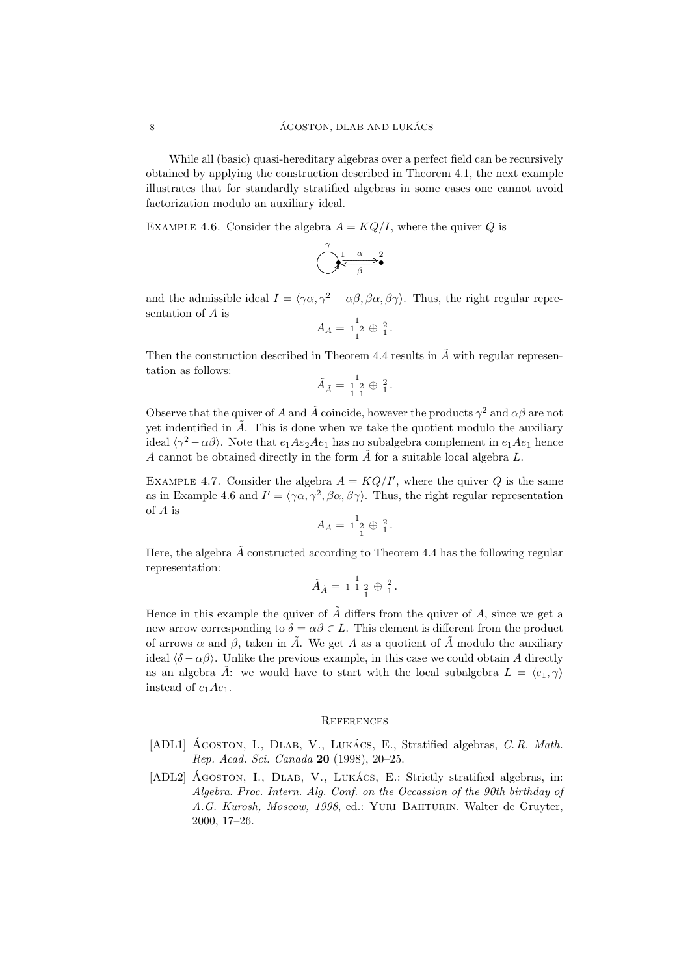While all (basic) quasi-hereditary algebras over a perfect field can be recursively obtained by applying the construction described in Theorem 4.1, the next example illustrates that for standardly stratified algebras in some cases one cannot avoid factorization modulo an auxiliary ideal.

EXAMPLE 4.6. Consider the algebra  $A = KQ/I$ , where the quiver Q is

$$
\bigodot^{\gamma} \underset{\beta}{\overset{\alpha}{\longleftrightarrow}}^2
$$

and the admissible ideal  $I = \langle \gamma \alpha, \gamma^2 - \alpha \beta, \beta \alpha, \beta \gamma \rangle$ . Thus, the right regular representation of A is

$$
A_A = \begin{bmatrix} 1 \\ 1 \end{bmatrix} 2 \oplus \begin{bmatrix} 2 \\ 1 \end{bmatrix}.
$$

Then the construction described in Theorem 4.4 results in  $\tilde{A}$  with regular representation as follows:

$$
\tilde{A}_{\tilde{A}} = \begin{bmatrix} 1 \\ 1 \\ 2 \end{bmatrix} \oplus \begin{bmatrix} 2 \\ 1 \end{bmatrix}.
$$

Observe that the quiver of A and  $\tilde{A}$  coincide, however the products  $\gamma^2$  and  $\alpha\beta$  are not yet indentified in  $\tilde{A}$ . This is done when we take the quotient modulo the auxiliary ideal  $\langle \gamma^2 - \alpha \beta \rangle$ . Note that  $e_1 A \varepsilon_2 A e_1$  has no subalgebra complement in  $e_1 A e_1$  hence A cannot be obtained directly in the form  $\tilde{A}$  for a suitable local algebra L.

EXAMPLE 4.7. Consider the algebra  $A = KQ/I'$ , where the quiver Q is the same as in Example 4.6 and  $I' = \langle \gamma \alpha, \gamma^2, \beta \alpha, \beta \gamma \rangle$ . Thus, the right regular representation of A is

$$
A_A = \begin{smallmatrix} 1 \\ 1 \\ 2 \end{smallmatrix} \oplus \begin{smallmatrix} 2 \\ 1 \end{smallmatrix}.
$$

Here, the algebra  $\tilde{A}$  constructed according to Theorem 4.4 has the following regular representation:

$$
\tilde{A}_{\tilde{A}} = 1 \, \overset{1}{\underset{1}{\cancel{2}}} \, 2 \, \oplus \, \overset{2}{\underset{1}{\cancel{2}}}.
$$

Hence in this example the quiver of  $\tilde{A}$  differs from the quiver of A, since we get a new arrow corresponding to  $\delta = \alpha \beta \in L$ . This element is different from the product of arrows  $\alpha$  and  $\beta$ , taken in  $\tilde{A}$ . We get A as a quotient of  $\tilde{A}$  modulo the auxiliary ideal  $\langle \delta - \alpha \beta \rangle$ . Unlike the previous example, in this case we could obtain A directly as an algebra  $\hat{A}$ : we would have to start with the local subalgebra  $L = \langle e_1, \gamma \rangle$ instead of  $e_1Ae_1$ .

## **REFERENCES**

- [ADL1] AGOSTON, I., DLAB, V., LUKÁCS, E., Stratified algebras, C. R. Math. Rep. Acad. Sci. Canada 20 (1998), 20–25.
- [ADL2] AGOSTON, I., DLAB, V., LUKACS, E.: Strictly stratified algebras, in: Algebra. Proc. Intern. Alg. Conf. on the Occassion of the 90th birthday of A.G. Kurosh, Moscow, 1998, ed.: YURI BAHTURIN. Walter de Gruvter, 2000, 17–26.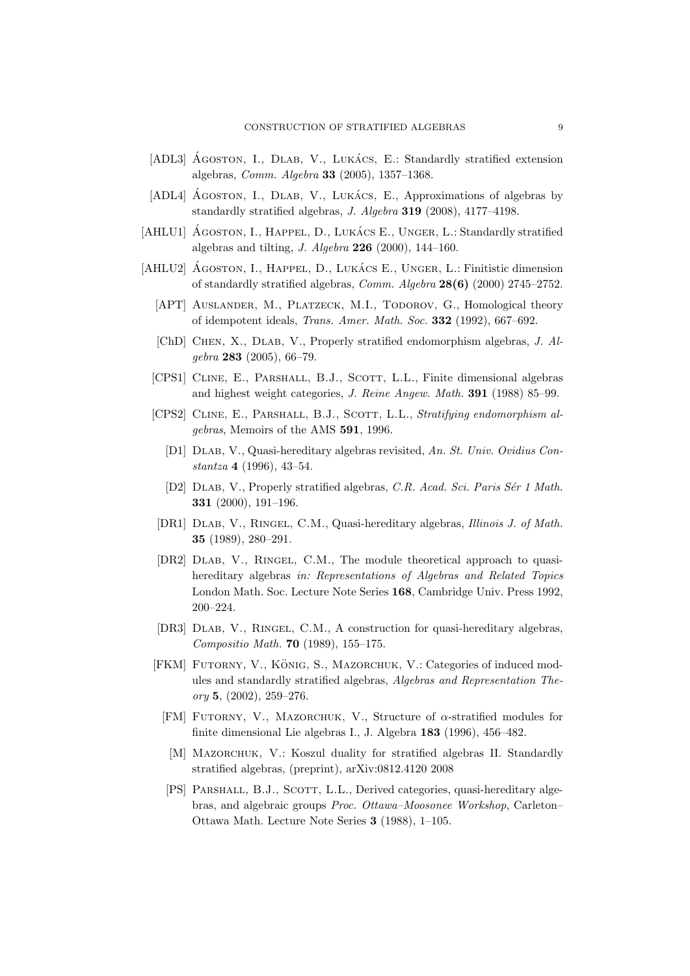- [ADL3] AGOSTON, I., DLAB, V., LUKACS, E.: Standardly stratified extension algebras, Comm. Algebra 33 (2005), 1357–1368.
- [ADL4] AGOSTON, I., DLAB, V., LUKACS, E., Approximations of algebras by standardly stratified algebras, J. Algebra 319 (2008), 4177–4198.
- [AHLU1] AGOSTON, I., HAPPEL, D., LUKACS E., UNGER, L.: Standardly stratified algebras and tilting, J. Algebra  $226$  (2000), 144-160.
- [AHLU2] AGOSTON, I., HAPPEL, D., LUKACS E., UNGER, L.: Finitistic dimension of standardly stratified algebras, Comm. Algebra 28(6) (2000) 2745–2752.
	- [APT] AUSLANDER, M., PLATZECK, M.I., TODOROV, G., Homological theory of idempotent ideals, Trans. Amer. Math. Soc. 332 (1992), 667–692.
	- [ChD] Chen, X., Dlab, V., Properly stratified endomorphism algebras, J. Algebra 283 (2005), 66–79.
	- [CPS1] CLINE, E., PARSHALL, B.J., SCOTT, L.L., Finite dimensional algebras and highest weight categories, J. Reine Angew. Math. 391 (1988) 85–99.
	- [CPS2] CLINE, E., PARSHALL, B.J., SCOTT, L.L., Stratifying endomorphism algebras, Memoirs of the AMS 591, 1996.
		- [D1] Dlab, V., Quasi-hereditary algebras revisited, An. St. Univ. Ovidius Constantza 4 (1996), 43–54.
		- [D2] DLAB, V., Properly stratified algebras, C.R. Acad. Sci. Paris Sér 1 Math. 331 (2000), 191–196.
	- [DR1] Dlab, V., Ringel, C.M., Quasi-hereditary algebras, Illinois J. of Math. 35 (1989), 280–291.
	- [DR2] DLAB, V., RINGEL, C.M., The module theoretical approach to quasihereditary algebras in: Representations of Algebras and Related Topics London Math. Soc. Lecture Note Series 168, Cambridge Univ. Press 1992, 200–224.
	- [DR3] Dlab, V., Ringel, C.M., A construction for quasi-hereditary algebras, Compositio Math. 70 (1989), 155–175.
	- [FKM] FUTORNY, V., KÖNIG, S., MAZORCHUK, V.: Categories of induced modules and standardly stratified algebras, Algebras and Representation The $ory 5, (2002), 259-276.$ 
		- [FM] FUTORNY, V., MAZORCHUK, V., Structure of  $\alpha$ -stratified modules for finite dimensional Lie algebras I., J. Algebra 183 (1996), 456–482.
		- [M] MAZORCHUK, V.: Koszul duality for stratified algebras II. Standardly stratified algebras, (preprint), arXiv:0812.4120 2008
		- [PS] PARSHALL, B.J., SCOTT, L.L., Derived categories, quasi-hereditary algebras, and algebraic groups Proc. Ottawa–Moosonee Workshop, Carleton– Ottawa Math. Lecture Note Series 3 (1988), 1–105.